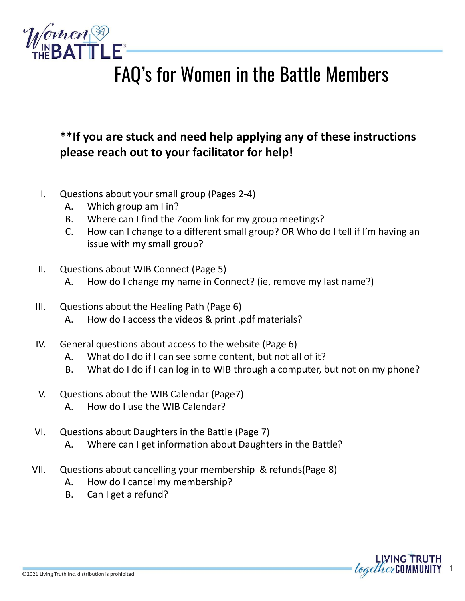

# FAQ's for Women in the Battle Members

## **\*\*If you are stuck and need help applying any of these instructions please reach out to your facilitator for help!**

- I. Questions about your small group (Pages 2-4)
	- A. Which group am I in?
	- B. Where can I find the Zoom link for my group meetings?
	- C. How can I change to a different small group? OR Who do I tell if I'm having an issue with my small group?
- II. Questions about WIB Connect (Page 5)
	- A. How do I change my name in Connect? (ie, remove my last name?)
- III. Questions about the Healing Path (Page 6)
	- A. How do I access the videos & print .pdf materials?
- IV. General questions about access to the website (Page 6)
	- A. What do I do if I can see some content, but not all of it?
	- B. What do I do if I can log in to WIB through a computer, but not on my phone?
- V. Questions about the WIB Calendar (Page7)
	- A. How do I use the WIB Calendar?
- VI. Questions about Daughters in the Battle (Page 7)
	- A. Where can I get information about Daughters in the Battle?
- VII. Questions about cancelling your membership & refunds(Page 8)
	- A. How do I cancel my membership?
	- B. Can I get a refund?

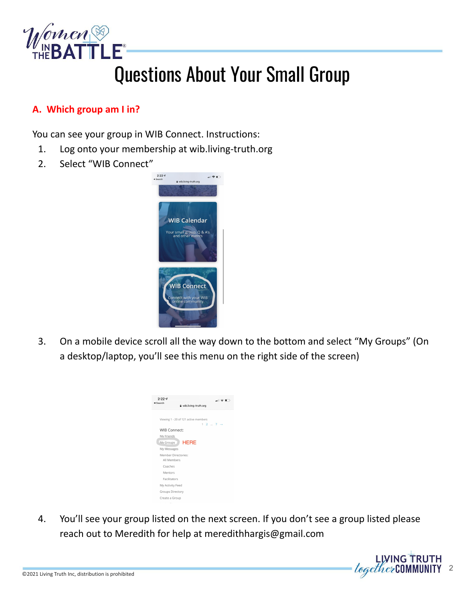

# Questions About Your Small Group

### **A. Which group am I in?**

You can see your group in WIB Connect. Instructions:

- 1. Log onto your membership at wib.living-truth.org
- 2. Select "WIB Connect"



3. On a mobile device scroll all the way down to the bottom and select "My Groups" (On a desktop/laptop, you'll see this menu on the right side of the screen)



4. You'll see your group listed on the next screen. If you don't see a group listed please reach out to Meredith for help at meredithhargis@gmail.com

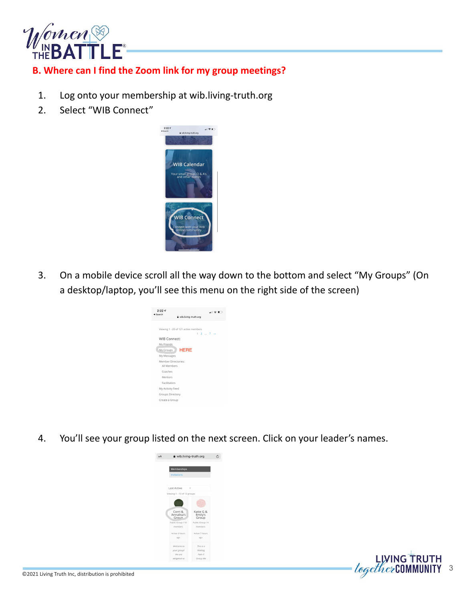

#### **B. Where can I find the Zoom link for my group meetings?**

- 1. Log onto your membership at wib.living-truth.org
- 2. Select "WIB Connect"



3. On a mobile device scroll all the way down to the bottom and select "My Groups" (On a desktop/laptop, you'll see this menu on the right side of the screen)



4. You'll see your group listed on the next screen. Click on your leader's names.

3

LIVING TRUTH<br>*together* COMMUNITY



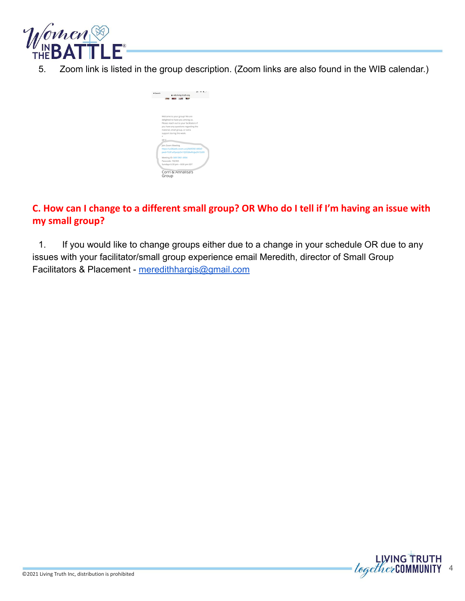

5. Zoom link is listed in the group description. (Zoom links are also found in the WIB calendar.)



#### **C. How can I change to a different small group? OR Who do I tell if I'm having an issue with my small group?**

1. If you would like to change groups either due to a change in your schedule OR due to any issues with your facilitator/small group experience email Meredith, director of Small Group Facilitators & Placement - [meredithhargis@gmail.com](mailto:meredithhargis@gmail.com)

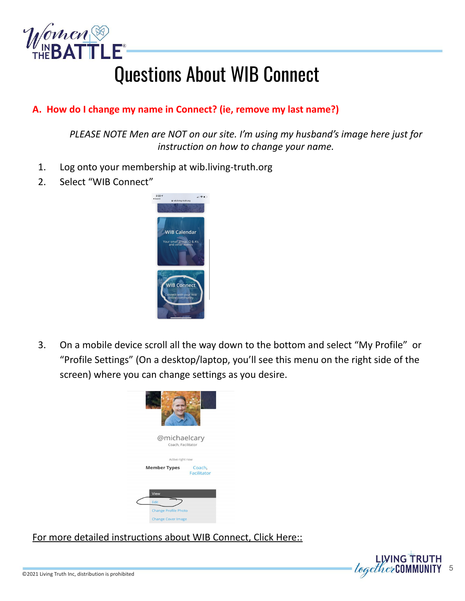

# Questions About WIB Connect

### **A. How do I change my name in Connect? (ie, remove my last name?)**

*PLEASE NOTE Men are NOT on our site. I'm using my husband's image here just for instruction on how to change your name.* 

- 1. Log onto your membership at wib.living-truth.org
- 2. Select "WIB Connect"



3. On a mobile device scroll all the way down to the bottom and select "My Profile" or "Profile Settings" (On a desktop/laptop, you'll see this menu on the right side of the screen) where you can change settings as you desire.



[For more detailed instructions about WIB Connect, Click Here::](https://docs.google.com/presentation/d/1NeuPs2qlhK-TZxb4C34E8J7ufmngHqE3KH3s4ZDOoEg/edit?usp=sharing)

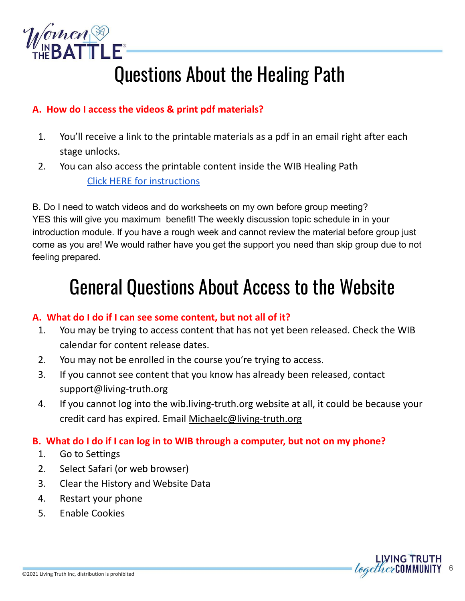

# Questions About the Healing Path

### **A. How do I access the videos & print pdf materials?**

- 1. You'll receive a link to the printable materials as a pdf in an email right after each stage unlocks.
- 2. You can also access the printable content inside the WIB Healing Path [Click HERE for instructions](https://docs.google.com/presentation/d/1_qcA-opEHMd4k0O7sy2Qp6QIaAXn52muCmx51Vd-1ek/edit?usp=sharing)

B. Do I need to watch videos and do worksheets on my own before group meeting? YES this will give you maximum benefit! The weekly discussion topic schedule in in your introduction module. If you have a rough week and cannot review the material before group just come as you are! We would rather have you get the support you need than skip group due to not feeling prepared.

# General Questions About Access to the Website

#### **A. What do I do if I can see some content, but not all of it?**

- 1. You may be trying to access content that has not yet been released. Check the WIB calendar for content release dates.
- 2. You may not be enrolled in the course you're trying to access.
- 3. If you cannot see content that you know has already been released, contact support@living-truth.org
- 4. If you cannot log into the wib.living-truth.org website at all, it could be because your credit card has expired. Email [Michaelc@living-truth.org](mailto:Michaelc@living-truth.org)

### **B. What do I do if I can log in to WIB through a computer, but not on my phone?**

- 1. Go to Settings
- 2. Select Safari (or web browser)
- 3. Clear the History and Website Data
- 4. Restart your phone
- 5. Enable Cookies

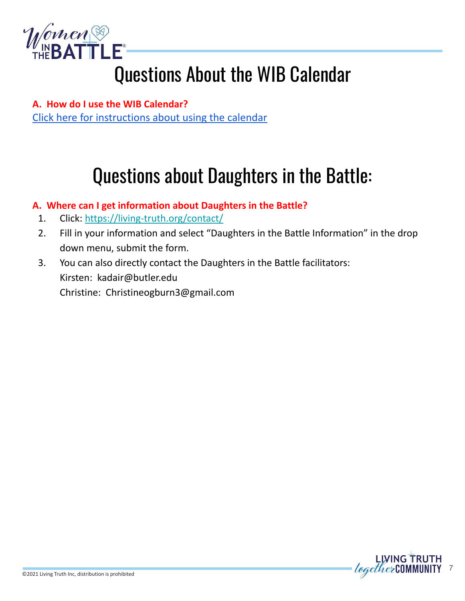

# Questions About the WIB Calendar

**A. How do I use the WIB Calendar?** [Click here for instructions about using the calendar](https://docs.google.com/presentation/d/1zPzrmU-WLIQPIcBr9hNDLcBB_0bxV80e4i0093U2ls4/edit?usp=sharing)

# Questions about Daughters in the Battle:

### **A. Where can I get information about Daughters in the Battle?**

- 1. Click: <https://living-truth.org/contact/>
- 2. Fill in your information and select "Daughters in the Battle Information" in the drop down menu, submit the form.
- 3. You can also directly contact the Daughters in the Battle facilitators: Kirsten: kadair@butler.edu Christine: Christineogburn3@gmail.com